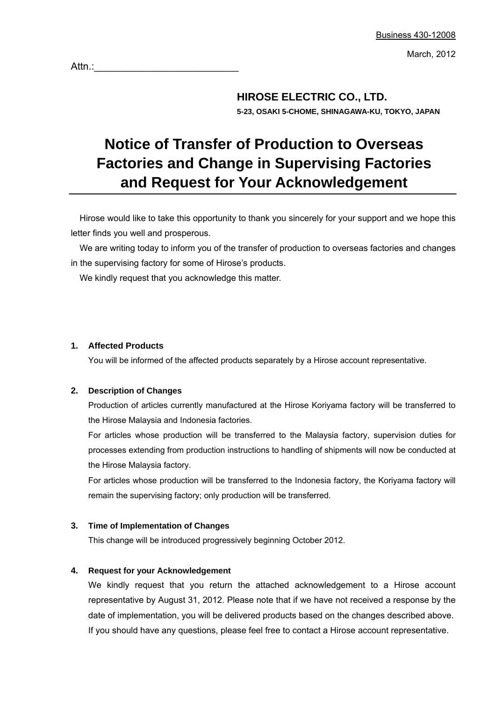March, 2012

Attn.:

### **HIROSE ELECTRIC CO., LTD. 5-23, OSAKI 5-CHOME, SHINAGAWA-KU, TOKYO, JAPAN**

# **Notice of Transfer of Production to Overseas Factories and Change in Supervising Factories and Request for Your Acknowledgement**

Hirose would like to take this opportunity to thank you sincerely for your support and we hope this letter finds you well and prosperous.

We are writing today to inform you of the transfer of production to overseas factories and changes in the supervising factory for some of Hirose's products.

We kindly request that you acknowledge this matter.

### **1. Affected Products**

You will be informed of the affected products separately by a Hirose account representative.

### **2. Description of Changes**

Production of articles currently manufactured at the Hirose Koriyama factory will be transferred to the Hirose Malaysia and Indonesia factories.

For articles whose production will be transferred to the Malaysia factory, supervision duties for processes extending from production instructions to handling of shipments will now be conducted at the Hirose Malaysia factory.

For articles whose production will be transferred to the Indonesia factory, the Koriyama factory will remain the supervising factory; only production will be transferred.

#### **3. Time of Implementation of Changes**

This change will be introduced progressively beginning October 2012.

#### **4. Request for your Acknowledgement**

We kindly request that you return the attached acknowledgement to a Hirose account representative by August 31, 2012. Please note that if we have not received a response by the date of implementation, you will be delivered products based on the changes described above. If you should have any questions, please feel free to contact a Hirose account representative.